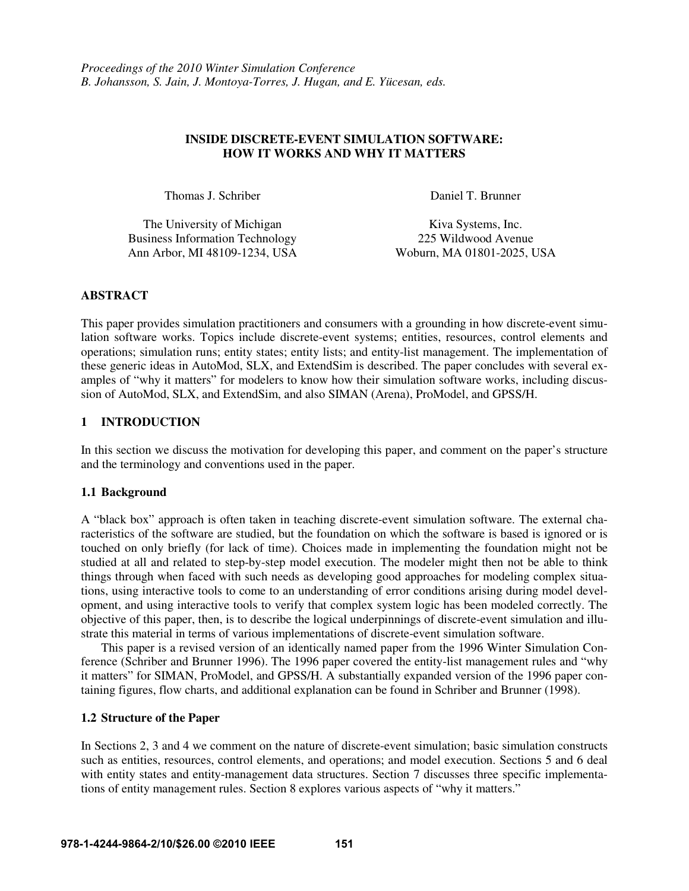## **INSIDE DISCRETE-EVENT SIMULATION SOFTWARE: HOW IT WORKS AND WHY IT MATTERS**

Thomas J. Schriber Daniel T. Brunner

The University of Michigan Kiva Systems, Inc.<br>
siness Information Technology 225 Wildwood Avenue Business Information Technology Ann Arbor, MI 48109-1234, USA Woburn, MA 01801-2025, USA

### **ABSTRACT**

This paper provides simulation practitioners and consumers with a grounding in how discrete-event simulation software works. Topics include discrete-event systems; entities, resources, control elements and operations; simulation runs; entity states; entity lists; and entity-list management. The implementation of these generic ideas in AutoMod, SLX, and ExtendSim is described. The paper concludes with several examples of "why it matters" for modelers to know how their simulation software works, including discussion of AutoMod, SLX, and ExtendSim, and also SIMAN (Arena), ProModel, and GPSS/H.

### **1 INTRODUCTION**

In this section we discuss the motivation for developing this paper, and comment on the paper's structure and the terminology and conventions used in the paper.

## **1.1 Background**

A "black box" approach is often taken in teaching discrete-event simulation software. The external characteristics of the software are studied, but the foundation on which the software is based is ignored or is touched on only briefly (for lack of time). Choices made in implementing the foundation might not be studied at all and related to step-by-step model execution. The modeler might then not be able to think things through when faced with such needs as developing good approaches for modeling complex situations, using interactive tools to come to an understanding of error conditions arising during model development, and using interactive tools to verify that complex system logic has been modeled correctly. The objective of this paper, then, is to describe the logical underpinnings of discrete-event simulation and illustrate this material in terms of various implementations of discrete-event simulation software.

This paper is a revised version of an identically named paper from the 1996 Winter Simulation Conference (Schriber and Brunner 1996). The 1996 paper covered the entity-list management rules and "why it matters" for SIMAN, ProModel, and GPSS/H. A substantially expanded version of the 1996 paper containing figures, flow charts, and additional explanation can be found in Schriber and Brunner (1998).

## **1.2 Structure of the Paper**

In Sections 2, 3 and 4 we comment on the nature of discrete-event simulation; basic simulation constructs such as entities, resources, control elements, and operations; and model execution. Sections 5 and 6 deal with entity states and entity-management data structures. Section 7 discusses three specific implementations of entity management rules. Section 8 explores various aspects of "why it matters."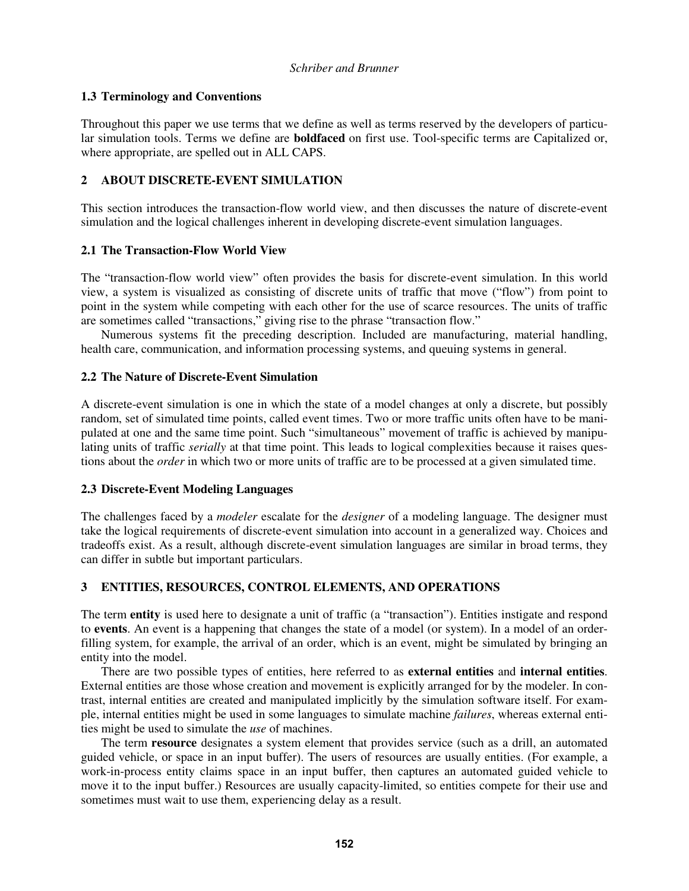## **1.3 Terminology and Conventions**

Throughout this paper we use terms that we define as well as terms reserved by the developers of particular simulation tools. Terms we define are **boldfaced** on first use. Tool-specific terms are Capitalized or, where appropriate, are spelled out in ALL CAPS.

# **2 ABOUT DISCRETE-EVENT SIMULATION**

This section introduces the transaction-flow world view, and then discusses the nature of discrete-event simulation and the logical challenges inherent in developing discrete-event simulation languages.

# **2.1 The Transaction-Flow World View**

The "transaction-flow world view" often provides the basis for discrete-event simulation. In this world view, a system is visualized as consisting of discrete units of traffic that move ("flow") from point to point in the system while competing with each other for the use of scarce resources. The units of traffic are sometimes called "transactions," giving rise to the phrase "transaction flow."

Numerous systems fit the preceding description. Included are manufacturing, material handling, health care, communication, and information processing systems, and queuing systems in general.

## **2.2 The Nature of Discrete-Event Simulation**

A discrete-event simulation is one in which the state of a model changes at only a discrete, but possibly random, set of simulated time points, called event times. Two or more traffic units often have to be manipulated at one and the same time point. Such "simultaneous" movement of traffic is achieved by manipulating units of traffic *serially* at that time point. This leads to logical complexities because it raises questions about the *order* in which two or more units of traffic are to be processed at a given simulated time.

## **2.3 Discrete-Event Modeling Languages**

The challenges faced by a *modeler* escalate for the *designer* of a modeling language. The designer must take the logical requirements of discrete-event simulation into account in a generalized way. Choices and tradeoffs exist. As a result, although discrete-event simulation languages are similar in broad terms, they can differ in subtle but important particulars.

# **3 ENTITIES, RESOURCES, CONTROL ELEMENTS, AND OPERATIONS**

The term **entity** is used here to designate a unit of traffic (a "transaction"). Entities instigate and respond to **events**. An event is a happening that changes the state of a model (or system). In a model of an orderfilling system, for example, the arrival of an order, which is an event, might be simulated by bringing an entity into the model.

There are two possible types of entities, here referred to as **external entities** and **internal entities**. External entities are those whose creation and movement is explicitly arranged for by the modeler. In contrast, internal entities are created and manipulated implicitly by the simulation software itself. For example, internal entities might be used in some languages to simulate machine *failures*, whereas external entities might be used to simulate the *use* of machines.

The term **resource** designates a system element that provides service (such as a drill, an automated guided vehicle, or space in an input buffer). The users of resources are usually entities. (For example, a work-in-process entity claims space in an input buffer, then captures an automated guided vehicle to move it to the input buffer.) Resources are usually capacity-limited, so entities compete for their use and sometimes must wait to use them, experiencing delay as a result.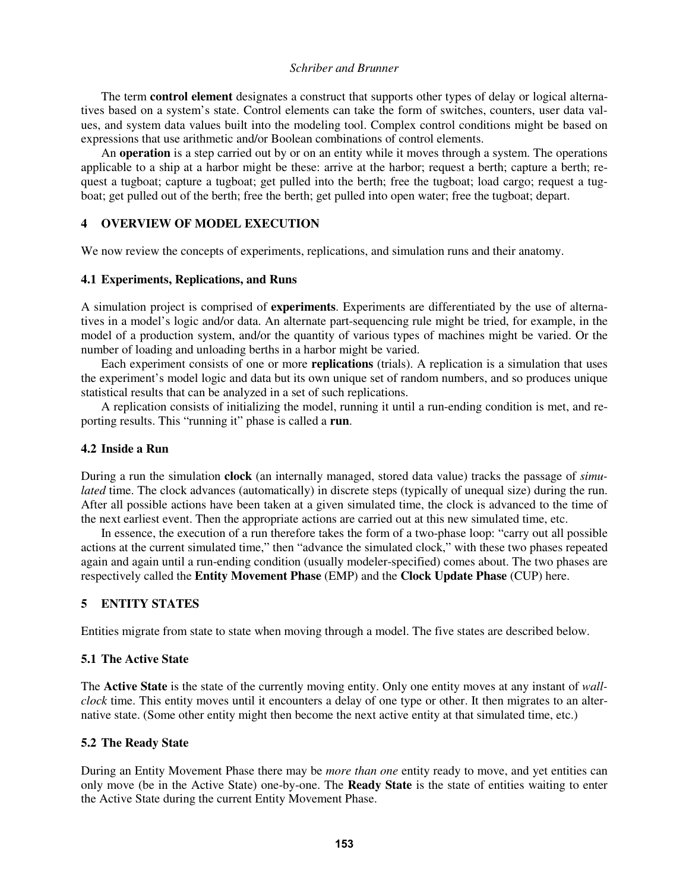The term **control element** designates a construct that supports other types of delay or logical alternatives based on a system's state. Control elements can take the form of switches, counters, user data values, and system data values built into the modeling tool. Complex control conditions might be based on expressions that use arithmetic and/or Boolean combinations of control elements.

An **operation** is a step carried out by or on an entity while it moves through a system. The operations applicable to a ship at a harbor might be these: arrive at the harbor; request a berth; capture a berth; request a tugboat; capture a tugboat; get pulled into the berth; free the tugboat; load cargo; request a tugboat; get pulled out of the berth; free the berth; get pulled into open water; free the tugboat; depart.

# **4 OVERVIEW OF MODEL EXECUTION**

We now review the concepts of experiments, replications, and simulation runs and their anatomy.

## **4.1 Experiments, Replications, and Runs**

A simulation project is comprised of **experiments**. Experiments are differentiated by the use of alternatives in a model's logic and/or data. An alternate part-sequencing rule might be tried, for example, in the model of a production system, and/or the quantity of various types of machines might be varied. Or the number of loading and unloading berths in a harbor might be varied.

Each experiment consists of one or more **replications** (trials). A replication is a simulation that uses the experiment's model logic and data but its own unique set of random numbers, and so produces unique statistical results that can be analyzed in a set of such replications.

A replication consists of initializing the model, running it until a run-ending condition is met, and reporting results. This "running it" phase is called a **run**.

## **4.2 Inside a Run**

During a run the simulation **clock** (an internally managed, stored data value) tracks the passage of *simulated* time. The clock advances (automatically) in discrete steps (typically of unequal size) during the run. After all possible actions have been taken at a given simulated time, the clock is advanced to the time of the next earliest event. Then the appropriate actions are carried out at this new simulated time, etc.

In essence, the execution of a run therefore takes the form of a two-phase loop: "carry out all possible actions at the current simulated time," then "advance the simulated clock," with these two phases repeated again and again until a run-ending condition (usually modeler-specified) comes about. The two phases are respectively called the **Entity Movement Phase** (EMP) and the **Clock Update Phase** (CUP) here.

## **5 ENTITY STATES**

Entities migrate from state to state when moving through a model. The five states are described below.

## **5.1 The Active State**

The **Active State** is the state of the currently moving entity. Only one entity moves at any instant of *wallclock* time. This entity moves until it encounters a delay of one type or other. It then migrates to an alternative state. (Some other entity might then become the next active entity at that simulated time, etc.)

## **5.2 The Ready State**

During an Entity Movement Phase there may be *more than one* entity ready to move, and yet entities can only move (be in the Active State) one-by-one. The **Ready State** is the state of entities waiting to enter the Active State during the current Entity Movement Phase.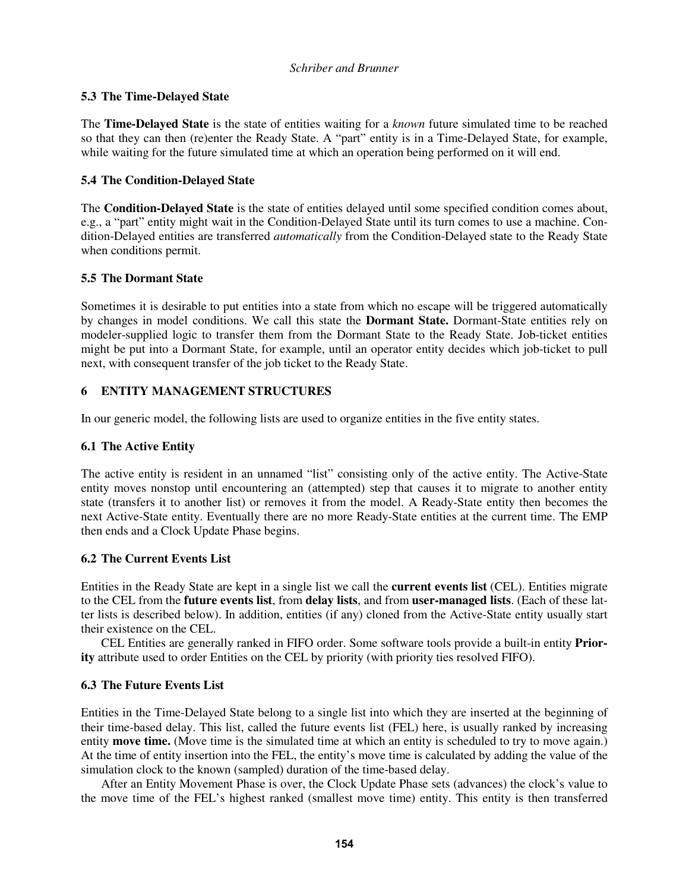## **5.3 The Time-Delayed State**

The **Time-Delayed State** is the state of entities waiting for a *known* future simulated time to be reached so that they can then (re)enter the Ready State. A "part" entity is in a Time-Delayed State, for example, while waiting for the future simulated time at which an operation being performed on it will end.

# **5.4 The Condition-Delayed State**

The **Condition-Delayed State** is the state of entities delayed until some specified condition comes about, e.g., a "part" entity might wait in the Condition-Delayed State until its turn comes to use a machine. Condition-Delayed entities are transferred *automatically* from the Condition-Delayed state to the Ready State when conditions permit.

# **5.5 The Dormant State**

Sometimes it is desirable to put entities into a state from which no escape will be triggered automatically by changes in model conditions. We call this state the **Dormant State.** Dormant-State entities rely on modeler-supplied logic to transfer them from the Dormant State to the Ready State. Job-ticket entities might be put into a Dormant State, for example, until an operator entity decides which job-ticket to pull next, with consequent transfer of the job ticket to the Ready State.

# **6 ENTITY MANAGEMENT STRUCTURES**

In our generic model, the following lists are used to organize entities in the five entity states.

# **6.1 The Active Entity**

The active entity is resident in an unnamed "list" consisting only of the active entity. The Active-State entity moves nonstop until encountering an (attempted) step that causes it to migrate to another entity state (transfers it to another list) or removes it from the model. A Ready-State entity then becomes the next Active-State entity. Eventually there are no more Ready-State entities at the current time. The EMP then ends and a Clock Update Phase begins.

## **6.2 The Current Events List**

Entities in the Ready State are kept in a single list we call the **current events list** (CEL). Entities migrate to the CEL from the **future events list**, from **delay lists**, and from **user-managed lists**. (Each of these latter lists is described below). In addition, entities (if any) cloned from the Active-State entity usually start their existence on the CEL.

CEL Entities are generally ranked in FIFO order. Some software tools provide a built-in entity **Priority** attribute used to order Entities on the CEL by priority (with priority ties resolved FIFO).

## **6.3 The Future Events List**

Entities in the Time-Delayed State belong to a single list into which they are inserted at the beginning of their time-based delay. This list, called the future events list (FEL) here, is usually ranked by increasing entity **move time.** (Move time is the simulated time at which an entity is scheduled to try to move again.) At the time of entity insertion into the FEL, the entity's move time is calculated by adding the value of the simulation clock to the known (sampled) duration of the time-based delay.

After an Entity Movement Phase is over, the Clock Update Phase sets (advances) the clock's value to the move time of the FEL's highest ranked (smallest move time) entity. This entity is then transferred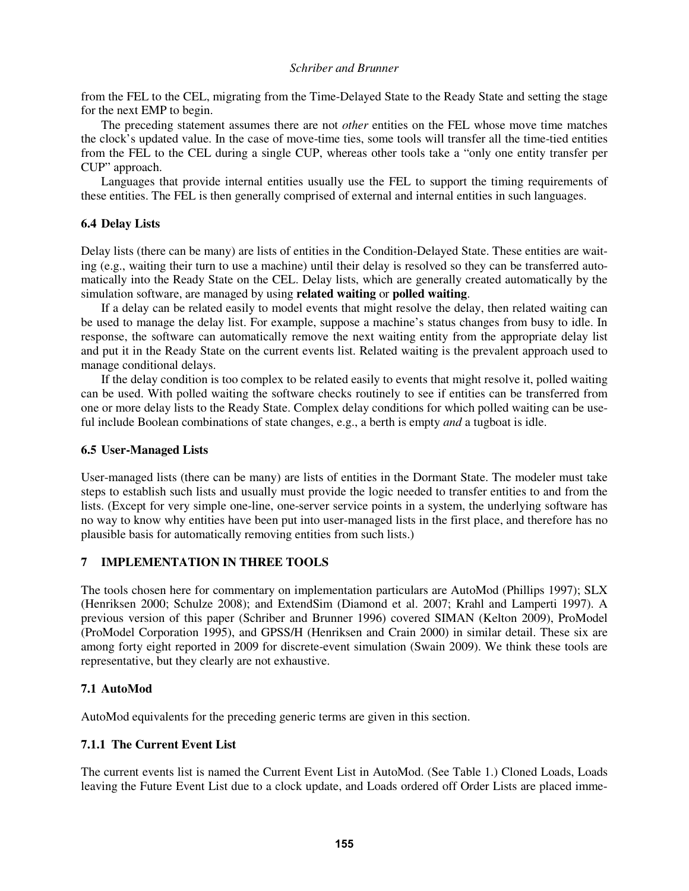from the FEL to the CEL, migrating from the Time-Delayed State to the Ready State and setting the stage for the next EMP to begin.

The preceding statement assumes there are not *other* entities on the FEL whose move time matches the clock's updated value. In the case of move-time ties, some tools will transfer all the time-tied entities from the FEL to the CEL during a single CUP, whereas other tools take a "only one entity transfer per CUP" approach.

Languages that provide internal entities usually use the FEL to support the timing requirements of these entities. The FEL is then generally comprised of external and internal entities in such languages.

## **6.4 Delay Lists**

Delay lists (there can be many) are lists of entities in the Condition-Delayed State. These entities are waiting (e.g., waiting their turn to use a machine) until their delay is resolved so they can be transferred automatically into the Ready State on the CEL. Delay lists, which are generally created automatically by the simulation software, are managed by using **related waiting** or **polled waiting**.

If a delay can be related easily to model events that might resolve the delay, then related waiting can be used to manage the delay list. For example, suppose a machine's status changes from busy to idle. In response, the software can automatically remove the next waiting entity from the appropriate delay list and put it in the Ready State on the current events list. Related waiting is the prevalent approach used to manage conditional delays.

If the delay condition is too complex to be related easily to events that might resolve it, polled waiting can be used. With polled waiting the software checks routinely to see if entities can be transferred from one or more delay lists to the Ready State. Complex delay conditions for which polled waiting can be useful include Boolean combinations of state changes, e.g., a berth is empty *and* a tugboat is idle.

## **6.5 User-Managed Lists**

User-managed lists (there can be many) are lists of entities in the Dormant State. The modeler must take steps to establish such lists and usually must provide the logic needed to transfer entities to and from the lists. (Except for very simple one-line, one-server service points in a system, the underlying software has no way to know why entities have been put into user-managed lists in the first place, and therefore has no plausible basis for automatically removing entities from such lists.)

## **7 IMPLEMENTATION IN THREE TOOLS**

The tools chosen here for commentary on implementation particulars are AutoMod (Phillips 1997); SLX (Henriksen 2000; Schulze 2008); and ExtendSim (Diamond et al. 2007; Krahl and Lamperti 1997). A previous version of this paper (Schriber and Brunner 1996) covered SIMAN (Kelton 2009), ProModel (ProModel Corporation 1995), and GPSS/H (Henriksen and Crain 2000) in similar detail. These six are among forty eight reported in 2009 for discrete-event simulation (Swain 2009). We think these tools are representative, but they clearly are not exhaustive.

# **7.1 AutoMod**

AutoMod equivalents for the preceding generic terms are given in this section.

# **7.1.1 The Current Event List**

The current events list is named the Current Event List in AutoMod. (See Table 1.) Cloned Loads, Loads leaving the Future Event List due to a clock update, and Loads ordered off Order Lists are placed imme-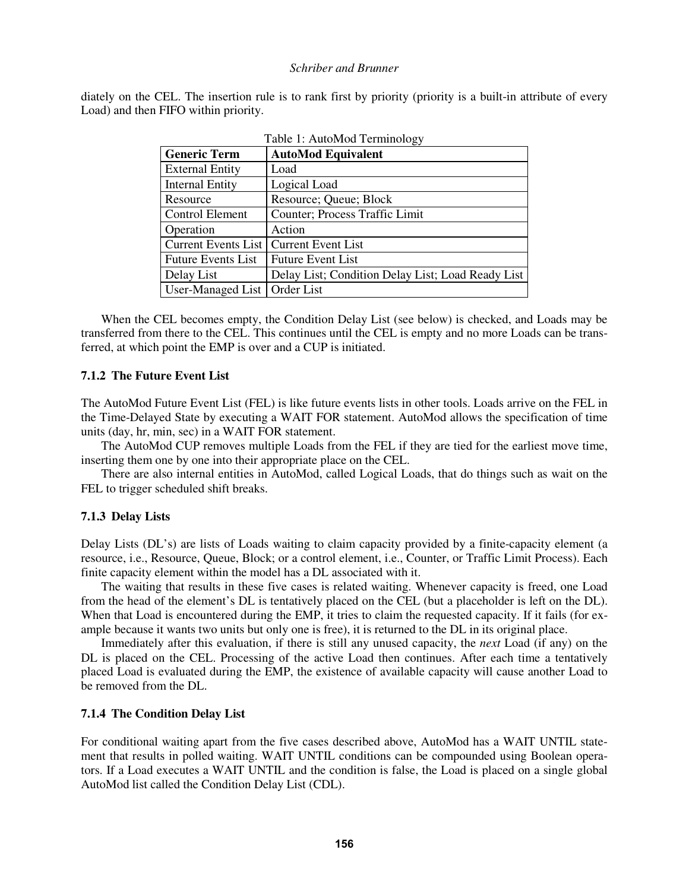diately on the CEL. The insertion rule is to rank first by priority (priority is a built-in attribute of every Load) and then FIFO within priority.

| $1.401C$ 1. AUTONTON TUTTHINOIDE V       |                                                   |  |
|------------------------------------------|---------------------------------------------------|--|
| <b>Generic Term</b>                      | <b>AutoMod Equivalent</b>                         |  |
| <b>External Entity</b>                   | Load                                              |  |
| <b>Internal Entity</b>                   | Logical Load                                      |  |
| Resource                                 | Resource; Queue; Block                            |  |
| <b>Control Element</b>                   | Counter; Process Traffic Limit                    |  |
| Operation                                | Action                                            |  |
| Current Events List   Current Event List |                                                   |  |
| <b>Future Events List</b>                | <b>Future Event List</b>                          |  |
| Delay List                               | Delay List; Condition Delay List; Load Ready List |  |
| User-Managed List                        | Order List                                        |  |

Table 1: AutoMod Terminology

When the CEL becomes empty, the Condition Delay List (see below) is checked, and Loads may be transferred from there to the CEL. This continues until the CEL is empty and no more Loads can be transferred, at which point the EMP is over and a CUP is initiated.

### **7.1.2 The Future Event List**

The AutoMod Future Event List (FEL) is like future events lists in other tools. Loads arrive on the FEL in the Time-Delayed State by executing a WAIT FOR statement. AutoMod allows the specification of time units (day, hr, min, sec) in a WAIT FOR statement.

The AutoMod CUP removes multiple Loads from the FEL if they are tied for the earliest move time, inserting them one by one into their appropriate place on the CEL.

 There are also internal entities in AutoMod, called Logical Loads, that do things such as wait on the FEL to trigger scheduled shift breaks.

### **7.1.3 Delay Lists**

Delay Lists (DL's) are lists of Loads waiting to claim capacity provided by a finite-capacity element (a resource, i.e., Resource, Queue, Block; or a control element, i.e., Counter, or Traffic Limit Process). Each finite capacity element within the model has a DL associated with it.

The waiting that results in these five cases is related waiting. Whenever capacity is freed, one Load from the head of the element's DL is tentatively placed on the CEL (but a placeholder is left on the DL). When that Load is encountered during the EMP, it tries to claim the requested capacity. If it fails (for example because it wants two units but only one is free), it is returned to the DL in its original place.

Immediately after this evaluation, if there is still any unused capacity, the *next* Load (if any) on the DL is placed on the CEL. Processing of the active Load then continues. After each time a tentatively placed Load is evaluated during the EMP, the existence of available capacity will cause another Load to be removed from the DL.

### **7.1.4 The Condition Delay List**

For conditional waiting apart from the five cases described above, AutoMod has a WAIT UNTIL statement that results in polled waiting. WAIT UNTIL conditions can be compounded using Boolean operators. If a Load executes a WAIT UNTIL and the condition is false, the Load is placed on a single global AutoMod list called the Condition Delay List (CDL).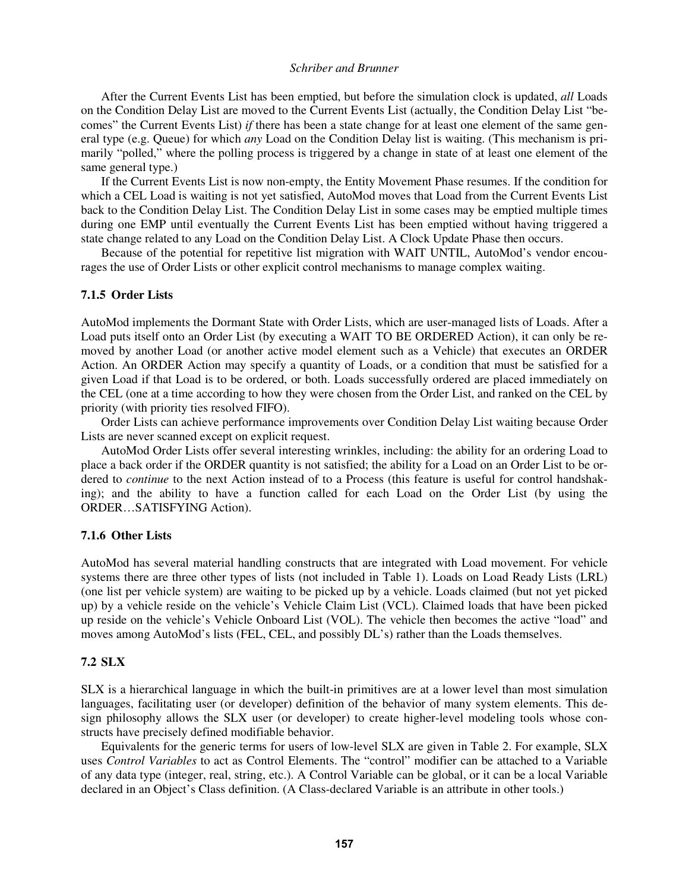After the Current Events List has been emptied, but before the simulation clock is updated, *all* Loads on the Condition Delay List are moved to the Current Events List (actually, the Condition Delay List "becomes" the Current Events List) *if* there has been a state change for at least one element of the same general type (e.g. Queue) for which *any* Load on the Condition Delay list is waiting. (This mechanism is primarily "polled," where the polling process is triggered by a change in state of at least one element of the same general type.)

If the Current Events List is now non-empty, the Entity Movement Phase resumes. If the condition for which a CEL Load is waiting is not yet satisfied, AutoMod moves that Load from the Current Events List back to the Condition Delay List. The Condition Delay List in some cases may be emptied multiple times during one EMP until eventually the Current Events List has been emptied without having triggered a state change related to any Load on the Condition Delay List. A Clock Update Phase then occurs.

Because of the potential for repetitive list migration with WAIT UNTIL, AutoMod's vendor encourages the use of Order Lists or other explicit control mechanisms to manage complex waiting.

#### **7.1.5 Order Lists**

AutoMod implements the Dormant State with Order Lists, which are user-managed lists of Loads. After a Load puts itself onto an Order List (by executing a WAIT TO BE ORDERED Action), it can only be removed by another Load (or another active model element such as a Vehicle) that executes an ORDER Action. An ORDER Action may specify a quantity of Loads, or a condition that must be satisfied for a given Load if that Load is to be ordered, or both. Loads successfully ordered are placed immediately on the CEL (one at a time according to how they were chosen from the Order List, and ranked on the CEL by priority (with priority ties resolved FIFO).

Order Lists can achieve performance improvements over Condition Delay List waiting because Order Lists are never scanned except on explicit request.

AutoMod Order Lists offer several interesting wrinkles, including: the ability for an ordering Load to place a back order if the ORDER quantity is not satisfied; the ability for a Load on an Order List to be ordered to *continue* to the next Action instead of to a Process (this feature is useful for control handshaking); and the ability to have a function called for each Load on the Order List (by using the ORDER…SATISFYING Action).

#### **7.1.6 Other Lists**

AutoMod has several material handling constructs that are integrated with Load movement. For vehicle systems there are three other types of lists (not included in Table 1). Loads on Load Ready Lists (LRL) (one list per vehicle system) are waiting to be picked up by a vehicle. Loads claimed (but not yet picked up) by a vehicle reside on the vehicle's Vehicle Claim List (VCL). Claimed loads that have been picked up reside on the vehicle's Vehicle Onboard List (VOL). The vehicle then becomes the active "load" and moves among AutoMod's lists (FEL, CEL, and possibly DL's) rather than the Loads themselves.

### **7.2 SLX**

SLX is a hierarchical language in which the built-in primitives are at a lower level than most simulation languages, facilitating user (or developer) definition of the behavior of many system elements. This design philosophy allows the SLX user (or developer) to create higher-level modeling tools whose constructs have precisely defined modifiable behavior.

Equivalents for the generic terms for users of low-level SLX are given in Table 2. For example, SLX uses *Control Variables* to act as Control Elements. The "control" modifier can be attached to a Variable of any data type (integer, real, string, etc.). A Control Variable can be global, or it can be a local Variable declared in an Object's Class definition. (A Class-declared Variable is an attribute in other tools.)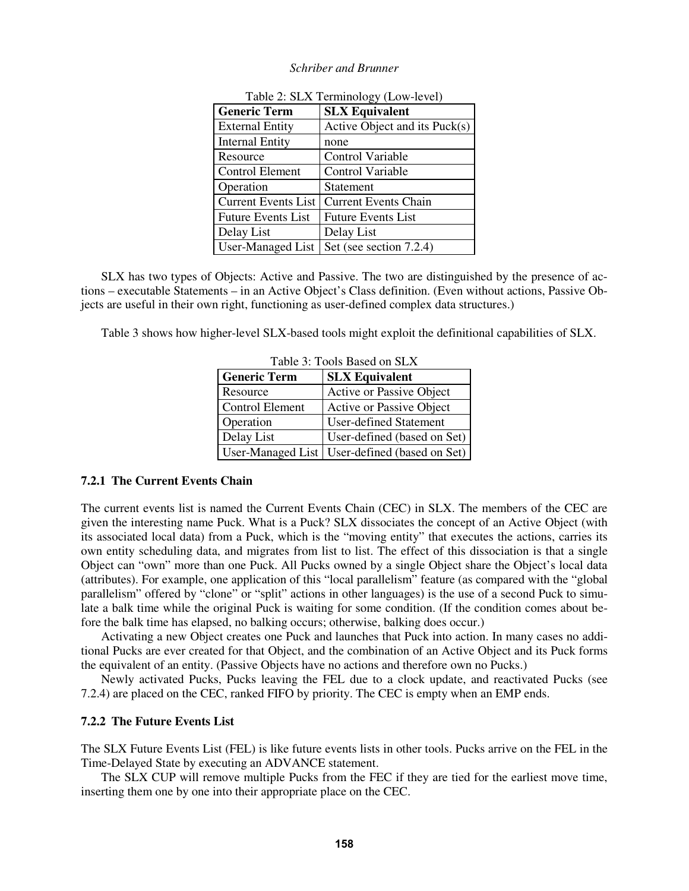| <b>Generic Term</b>        | <b>SLX Equivalent</b>           |
|----------------------------|---------------------------------|
| <b>External Entity</b>     | Active Object and its $Puck(s)$ |
| <b>Internal Entity</b>     | none                            |
| Resource                   | Control Variable                |
| <b>Control Element</b>     | Control Variable                |
| Operation                  | Statement                       |
| <b>Current Events List</b> | <b>Current Events Chain</b>     |
| <b>Future Events List</b>  | <b>Future Events List</b>       |
| Delay List                 | Delay List                      |
| <b>User-Managed List</b>   | Set (see section 7.2.4)         |

SLX has two types of Objects: Active and Passive. The two are distinguished by the presence of actions – executable Statements – in an Active Object's Class definition. (Even without actions, Passive Objects are useful in their own right, functioning as user-defined complex data structures.)

Table 3 shows how higher-level SLX-based tools might exploit the definitional capabilities of SLX.

| Table 3: Tools Based on SLX |                               |  |  |
|-----------------------------|-------------------------------|--|--|
| <b>Generic Term</b>         | <b>SLX Equivalent</b>         |  |  |
| Resource                    | Active or Passive Object      |  |  |
| <b>Control Element</b>      | Active or Passive Object      |  |  |
| Operation                   | <b>User-defined Statement</b> |  |  |
| Delay List                  | User-defined (based on Set)   |  |  |
| User-Managed List           | User-defined (based on Set)   |  |  |

### **7.2.1 The Current Events Chain**

The current events list is named the Current Events Chain (CEC) in SLX. The members of the CEC are given the interesting name Puck. What is a Puck? SLX dissociates the concept of an Active Object (with its associated local data) from a Puck, which is the "moving entity" that executes the actions, carries its own entity scheduling data, and migrates from list to list. The effect of this dissociation is that a single Object can "own" more than one Puck. All Pucks owned by a single Object share the Object's local data (attributes). For example, one application of this "local parallelism" feature (as compared with the "global parallelism" offered by "clone" or "split" actions in other languages) is the use of a second Puck to simulate a balk time while the original Puck is waiting for some condition. (If the condition comes about before the balk time has elapsed, no balking occurs; otherwise, balking does occur.)

Activating a new Object creates one Puck and launches that Puck into action. In many cases no additional Pucks are ever created for that Object, and the combination of an Active Object and its Puck forms the equivalent of an entity. (Passive Objects have no actions and therefore own no Pucks.)

Newly activated Pucks, Pucks leaving the FEL due to a clock update, and reactivated Pucks (see 7.2.4) are placed on the CEC, ranked FIFO by priority. The CEC is empty when an EMP ends.

### **7.2.2 The Future Events List**

The SLX Future Events List (FEL) is like future events lists in other tools. Pucks arrive on the FEL in the Time-Delayed State by executing an ADVANCE statement.

The SLX CUP will remove multiple Pucks from the FEC if they are tied for the earliest move time, inserting them one by one into their appropriate place on the CEC.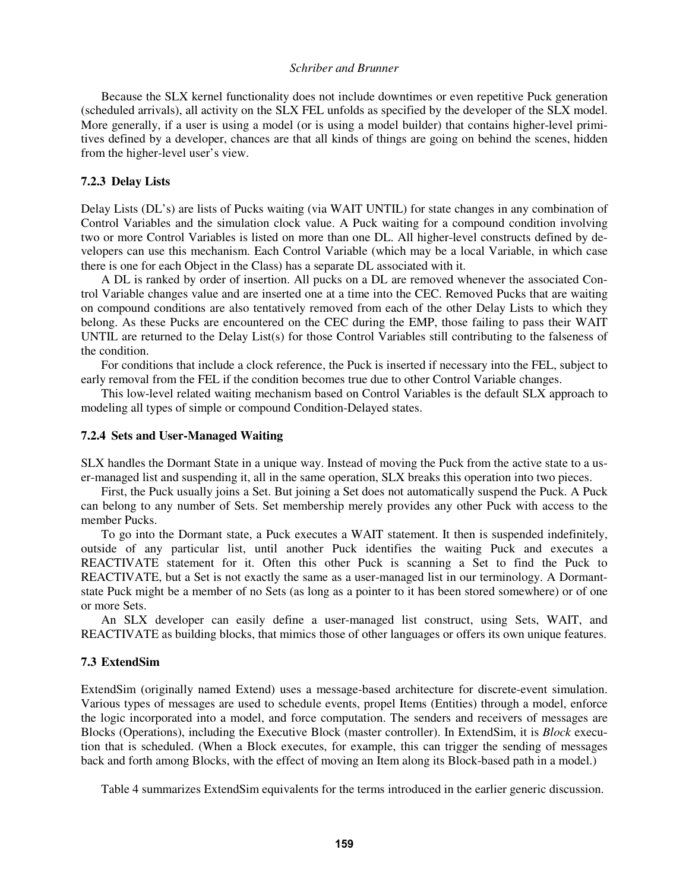Because the SLX kernel functionality does not include downtimes or even repetitive Puck generation (scheduled arrivals), all activity on the SLX FEL unfolds as specified by the developer of the SLX model. More generally, if a user is using a model (or is using a model builder) that contains higher-level primitives defined by a developer, chances are that all kinds of things are going on behind the scenes, hidden from the higher-level user's view.

### **7.2.3 Delay Lists**

Delay Lists (DL's) are lists of Pucks waiting (via WAIT UNTIL) for state changes in any combination of Control Variables and the simulation clock value. A Puck waiting for a compound condition involving two or more Control Variables is listed on more than one DL. All higher-level constructs defined by developers can use this mechanism. Each Control Variable (which may be a local Variable, in which case there is one for each Object in the Class) has a separate DL associated with it.

A DL is ranked by order of insertion. All pucks on a DL are removed whenever the associated Control Variable changes value and are inserted one at a time into the CEC. Removed Pucks that are waiting on compound conditions are also tentatively removed from each of the other Delay Lists to which they belong. As these Pucks are encountered on the CEC during the EMP, those failing to pass their WAIT UNTIL are returned to the Delay List(s) for those Control Variables still contributing to the falseness of the condition.

For conditions that include a clock reference, the Puck is inserted if necessary into the FEL, subject to early removal from the FEL if the condition becomes true due to other Control Variable changes.

This low-level related waiting mechanism based on Control Variables is the default SLX approach to modeling all types of simple or compound Condition-Delayed states.

### **7.2.4 Sets and User-Managed Waiting**

SLX handles the Dormant State in a unique way. Instead of moving the Puck from the active state to a user-managed list and suspending it, all in the same operation, SLX breaks this operation into two pieces.

First, the Puck usually joins a Set. But joining a Set does not automatically suspend the Puck. A Puck can belong to any number of Sets. Set membership merely provides any other Puck with access to the member Pucks.

To go into the Dormant state, a Puck executes a WAIT statement. It then is suspended indefinitely, outside of any particular list, until another Puck identifies the waiting Puck and executes a REACTIVATE statement for it. Often this other Puck is scanning a Set to find the Puck to REACTIVATE, but a Set is not exactly the same as a user-managed list in our terminology. A Dormantstate Puck might be a member of no Sets (as long as a pointer to it has been stored somewhere) or of one or more Sets.

An SLX developer can easily define a user-managed list construct, using Sets, WAIT, and REACTIVATE as building blocks, that mimics those of other languages or offers its own unique features.

## **7.3 ExtendSim**

ExtendSim (originally named Extend) uses a message-based architecture for discrete-event simulation. Various types of messages are used to schedule events, propel Items (Entities) through a model, enforce the logic incorporated into a model, and force computation. The senders and receivers of messages are Blocks (Operations), including the Executive Block (master controller). In ExtendSim, it is *Block* execution that is scheduled. (When a Block executes, for example, this can trigger the sending of messages back and forth among Blocks, with the effect of moving an Item along its Block-based path in a model.)

Table 4 summarizes ExtendSim equivalents for the terms introduced in the earlier generic discussion.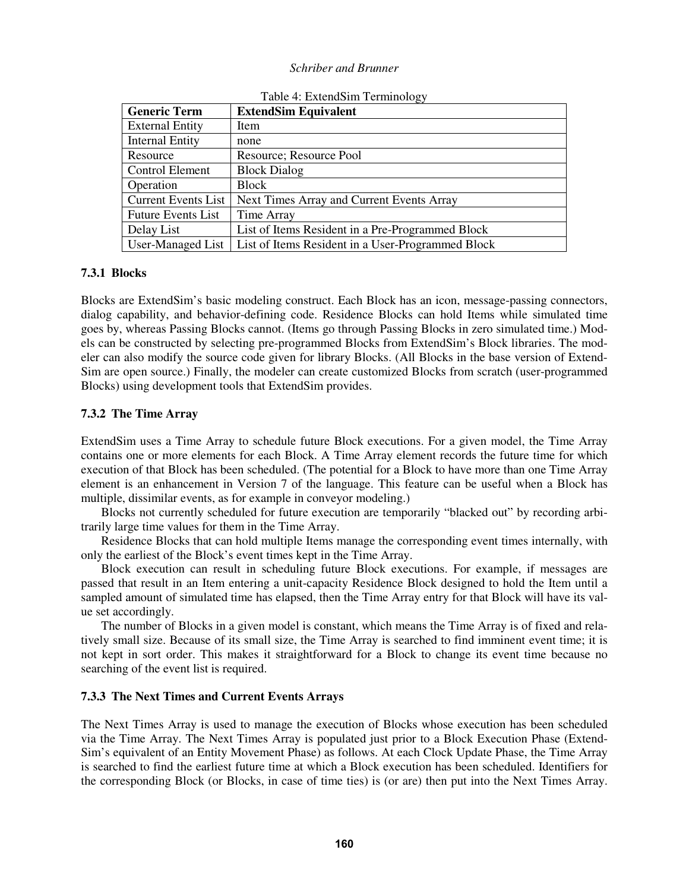| <b>Generic Term</b>        | <b>ExtendSim Equivalent</b>                       |
|----------------------------|---------------------------------------------------|
| <b>External Entity</b>     | Item                                              |
| <b>Internal Entity</b>     | none                                              |
| Resource                   | Resource; Resource Pool                           |
| <b>Control Element</b>     | <b>Block Dialog</b>                               |
| Operation                  | <b>Block</b>                                      |
| <b>Current Events List</b> | Next Times Array and Current Events Array         |
| <b>Future Events List</b>  | Time Array                                        |
| Delay List                 | List of Items Resident in a Pre-Programmed Block  |
| User-Managed List          | List of Items Resident in a User-Programmed Block |

### Table 4: ExtendSim Terminology

## **7.3.1 Blocks**

Blocks are ExtendSim's basic modeling construct. Each Block has an icon, message-passing connectors, dialog capability, and behavior-defining code. Residence Blocks can hold Items while simulated time goes by, whereas Passing Blocks cannot. (Items go through Passing Blocks in zero simulated time.) Models can be constructed by selecting pre-programmed Blocks from ExtendSim's Block libraries. The modeler can also modify the source code given for library Blocks. (All Blocks in the base version of Extend-Sim are open source.) Finally, the modeler can create customized Blocks from scratch (user-programmed Blocks) using development tools that ExtendSim provides.

## **7.3.2 The Time Array**

ExtendSim uses a Time Array to schedule future Block executions. For a given model, the Time Array contains one or more elements for each Block. A Time Array element records the future time for which execution of that Block has been scheduled. (The potential for a Block to have more than one Time Array element is an enhancement in Version 7 of the language. This feature can be useful when a Block has multiple, dissimilar events, as for example in conveyor modeling.)

Blocks not currently scheduled for future execution are temporarily "blacked out" by recording arbitrarily large time values for them in the Time Array.

Residence Blocks that can hold multiple Items manage the corresponding event times internally, with only the earliest of the Block's event times kept in the Time Array.

Block execution can result in scheduling future Block executions. For example, if messages are passed that result in an Item entering a unit-capacity Residence Block designed to hold the Item until a sampled amount of simulated time has elapsed, then the Time Array entry for that Block will have its value set accordingly.

The number of Blocks in a given model is constant, which means the Time Array is of fixed and relatively small size. Because of its small size, the Time Array is searched to find imminent event time; it is not kept in sort order. This makes it straightforward for a Block to change its event time because no searching of the event list is required.

## **7.3.3 The Next Times and Current Events Arrays**

The Next Times Array is used to manage the execution of Blocks whose execution has been scheduled via the Time Array. The Next Times Array is populated just prior to a Block Execution Phase (Extend-Sim's equivalent of an Entity Movement Phase) as follows. At each Clock Update Phase, the Time Array is searched to find the earliest future time at which a Block execution has been scheduled. Identifiers for the corresponding Block (or Blocks, in case of time ties) is (or are) then put into the Next Times Array.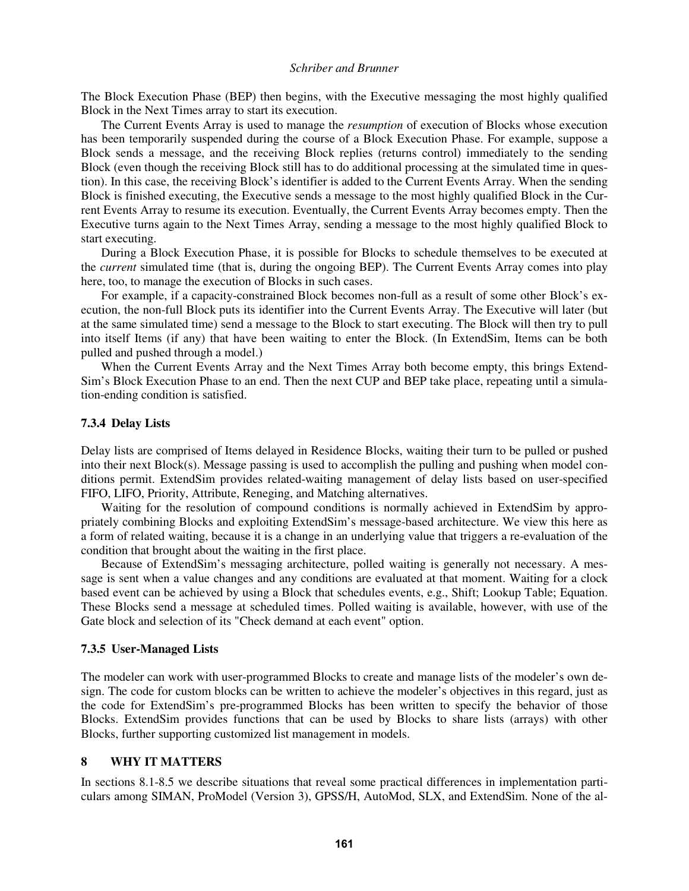The Block Execution Phase (BEP) then begins, with the Executive messaging the most highly qualified Block in the Next Times array to start its execution.

The Current Events Array is used to manage the *resumption* of execution of Blocks whose execution has been temporarily suspended during the course of a Block Execution Phase. For example, suppose a Block sends a message, and the receiving Block replies (returns control) immediately to the sending Block (even though the receiving Block still has to do additional processing at the simulated time in question). In this case, the receiving Block's identifier is added to the Current Events Array. When the sending Block is finished executing, the Executive sends a message to the most highly qualified Block in the Current Events Array to resume its execution. Eventually, the Current Events Array becomes empty. Then the Executive turns again to the Next Times Array, sending a message to the most highly qualified Block to start executing.

During a Block Execution Phase, it is possible for Blocks to schedule themselves to be executed at the *current* simulated time (that is, during the ongoing BEP). The Current Events Array comes into play here, too, to manage the execution of Blocks in such cases.

For example, if a capacity-constrained Block becomes non-full as a result of some other Block's execution, the non-full Block puts its identifier into the Current Events Array. The Executive will later (but at the same simulated time) send a message to the Block to start executing. The Block will then try to pull into itself Items (if any) that have been waiting to enter the Block. (In ExtendSim, Items can be both pulled and pushed through a model.)

When the Current Events Array and the Next Times Array both become empty, this brings Extend-Sim's Block Execution Phase to an end. Then the next CUP and BEP take place, repeating until a simulation-ending condition is satisfied.

### **7.3.4 Delay Lists**

Delay lists are comprised of Items delayed in Residence Blocks, waiting their turn to be pulled or pushed into their next Block(s). Message passing is used to accomplish the pulling and pushing when model conditions permit. ExtendSim provides related-waiting management of delay lists based on user-specified FIFO, LIFO, Priority, Attribute, Reneging, and Matching alternatives.

Waiting for the resolution of compound conditions is normally achieved in ExtendSim by appropriately combining Blocks and exploiting ExtendSim's message-based architecture. We view this here as a form of related waiting, because it is a change in an underlying value that triggers a re-evaluation of the condition that brought about the waiting in the first place.

Because of ExtendSim's messaging architecture, polled waiting is generally not necessary. A message is sent when a value changes and any conditions are evaluated at that moment. Waiting for a clock based event can be achieved by using a Block that schedules events, e.g., Shift; Lookup Table; Equation. These Blocks send a message at scheduled times. Polled waiting is available, however, with use of the Gate block and selection of its "Check demand at each event" option.

### **7.3.5 User-Managed Lists**

The modeler can work with user-programmed Blocks to create and manage lists of the modeler's own design. The code for custom blocks can be written to achieve the modeler's objectives in this regard, just as the code for ExtendSim's pre-programmed Blocks has been written to specify the behavior of those Blocks. ExtendSim provides functions that can be used by Blocks to share lists (arrays) with other Blocks, further supporting customized list management in models.

### **8 WHY IT MATTERS**

In sections 8.1-8.5 we describe situations that reveal some practical differences in implementation particulars among SIMAN, ProModel (Version 3), GPSS/H, AutoMod, SLX, and ExtendSim. None of the al-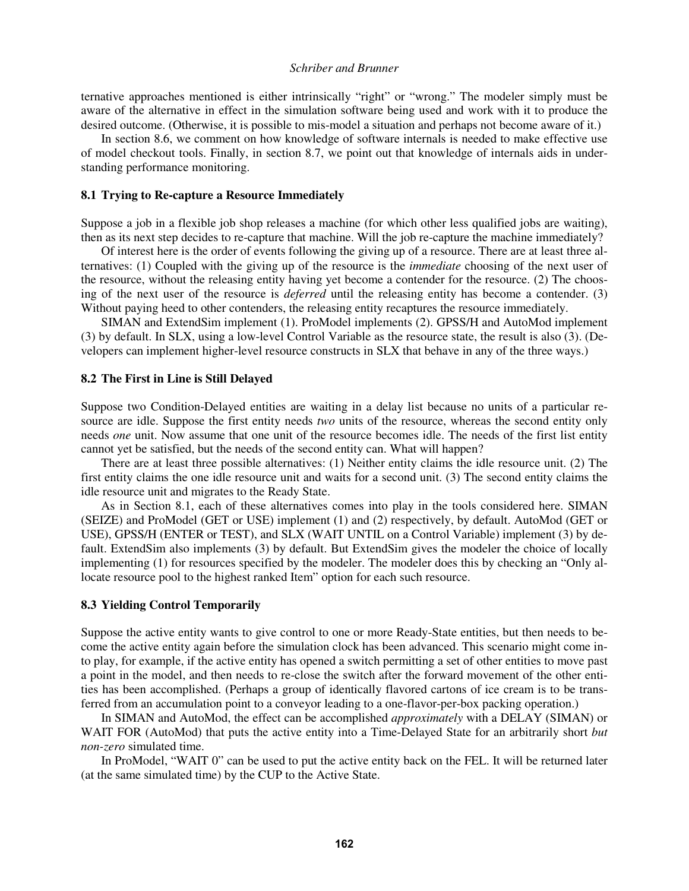ternative approaches mentioned is either intrinsically "right" or "wrong." The modeler simply must be aware of the alternative in effect in the simulation software being used and work with it to produce the desired outcome. (Otherwise, it is possible to mis-model a situation and perhaps not become aware of it.)

In section 8.6, we comment on how knowledge of software internals is needed to make effective use of model checkout tools. Finally, in section 8.7, we point out that knowledge of internals aids in understanding performance monitoring.

#### **8.1 Trying to Re-capture a Resource Immediately**

Suppose a job in a flexible job shop releases a machine (for which other less qualified jobs are waiting), then as its next step decides to re-capture that machine. Will the job re-capture the machine immediately?

Of interest here is the order of events following the giving up of a resource. There are at least three alternatives: (1) Coupled with the giving up of the resource is the *immediate* choosing of the next user of the resource, without the releasing entity having yet become a contender for the resource. (2) The choosing of the next user of the resource is *deferred* until the releasing entity has become a contender. (3) Without paying heed to other contenders, the releasing entity recaptures the resource immediately.

SIMAN and ExtendSim implement (1). ProModel implements (2). GPSS/H and AutoMod implement (3) by default. In SLX, using a low-level Control Variable as the resource state, the result is also (3). (Developers can implement higher-level resource constructs in SLX that behave in any of the three ways.)

### **8.2 The First in Line is Still Delayed**

Suppose two Condition-Delayed entities are waiting in a delay list because no units of a particular resource are idle. Suppose the first entity needs *two* units of the resource, whereas the second entity only needs *one* unit. Now assume that one unit of the resource becomes idle. The needs of the first list entity cannot yet be satisfied, but the needs of the second entity can. What will happen?

There are at least three possible alternatives: (1) Neither entity claims the idle resource unit. (2) The first entity claims the one idle resource unit and waits for a second unit. (3) The second entity claims the idle resource unit and migrates to the Ready State.

As in Section 8.1, each of these alternatives comes into play in the tools considered here. SIMAN (SEIZE) and ProModel (GET or USE) implement (1) and (2) respectively, by default. AutoMod (GET or USE), GPSS/H (ENTER or TEST), and SLX (WAIT UNTIL on a Control Variable) implement (3) by default. ExtendSim also implements (3) by default. But ExtendSim gives the modeler the choice of locally implementing (1) for resources specified by the modeler. The modeler does this by checking an "Only allocate resource pool to the highest ranked Item" option for each such resource.

#### **8.3 Yielding Control Temporarily**

Suppose the active entity wants to give control to one or more Ready-State entities, but then needs to become the active entity again before the simulation clock has been advanced. This scenario might come into play, for example, if the active entity has opened a switch permitting a set of other entities to move past a point in the model, and then needs to re-close the switch after the forward movement of the other entities has been accomplished. (Perhaps a group of identically flavored cartons of ice cream is to be transferred from an accumulation point to a conveyor leading to a one-flavor-per-box packing operation.)

In SIMAN and AutoMod, the effect can be accomplished *approximately* with a DELAY (SIMAN) or WAIT FOR (AutoMod) that puts the active entity into a Time-Delayed State for an arbitrarily short *but non-zero* simulated time.

In ProModel, "WAIT 0" can be used to put the active entity back on the FEL. It will be returned later (at the same simulated time) by the CUP to the Active State.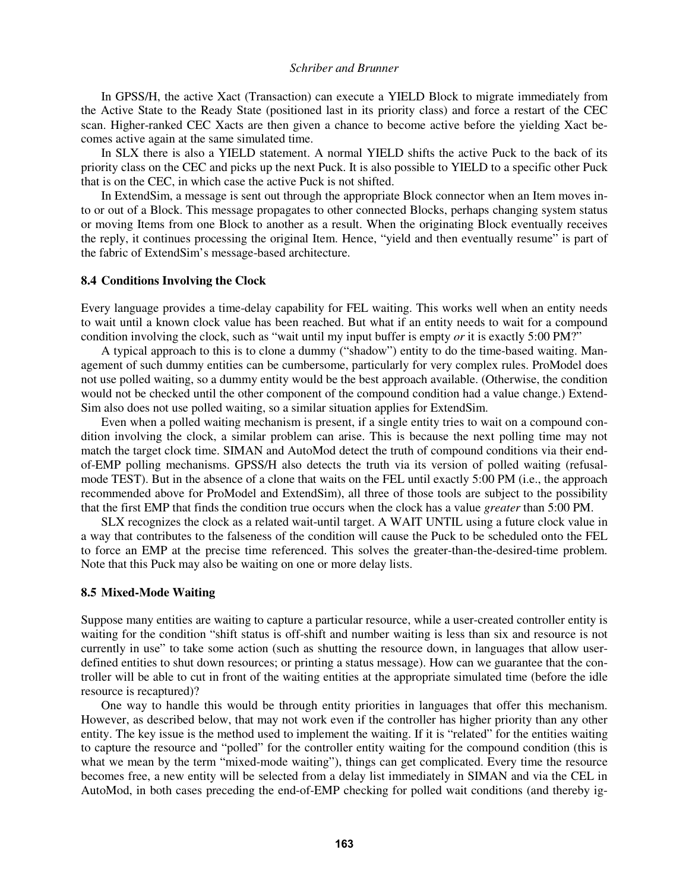In GPSS/H, the active Xact (Transaction) can execute a YIELD Block to migrate immediately from the Active State to the Ready State (positioned last in its priority class) and force a restart of the CEC scan. Higher-ranked CEC Xacts are then given a chance to become active before the yielding Xact becomes active again at the same simulated time.

In SLX there is also a YIELD statement. A normal YIELD shifts the active Puck to the back of its priority class on the CEC and picks up the next Puck. It is also possible to YIELD to a specific other Puck that is on the CEC, in which case the active Puck is not shifted.

In ExtendSim, a message is sent out through the appropriate Block connector when an Item moves into or out of a Block. This message propagates to other connected Blocks, perhaps changing system status or moving Items from one Block to another as a result. When the originating Block eventually receives the reply, it continues processing the original Item. Hence, "yield and then eventually resume" is part of the fabric of ExtendSim's message-based architecture.

#### **8.4 Conditions Involving the Clock**

Every language provides a time-delay capability for FEL waiting. This works well when an entity needs to wait until a known clock value has been reached. But what if an entity needs to wait for a compound condition involving the clock, such as "wait until my input buffer is empty *or* it is exactly 5:00 PM?"

A typical approach to this is to clone a dummy ("shadow") entity to do the time-based waiting. Management of such dummy entities can be cumbersome, particularly for very complex rules. ProModel does not use polled waiting, so a dummy entity would be the best approach available. (Otherwise, the condition would not be checked until the other component of the compound condition had a value change.) Extend-Sim also does not use polled waiting, so a similar situation applies for ExtendSim.

Even when a polled waiting mechanism is present, if a single entity tries to wait on a compound condition involving the clock, a similar problem can arise. This is because the next polling time may not match the target clock time. SIMAN and AutoMod detect the truth of compound conditions via their endof-EMP polling mechanisms. GPSS/H also detects the truth via its version of polled waiting (refusalmode TEST). But in the absence of a clone that waits on the FEL until exactly 5:00 PM (i.e., the approach recommended above for ProModel and ExtendSim), all three of those tools are subject to the possibility that the first EMP that finds the condition true occurs when the clock has a value *greater* than 5:00 PM.

SLX recognizes the clock as a related wait-until target. A WAIT UNTIL using a future clock value in a way that contributes to the falseness of the condition will cause the Puck to be scheduled onto the FEL to force an EMP at the precise time referenced. This solves the greater-than-the-desired-time problem. Note that this Puck may also be waiting on one or more delay lists.

#### **8.5 Mixed-Mode Waiting**

Suppose many entities are waiting to capture a particular resource, while a user-created controller entity is waiting for the condition "shift status is off-shift and number waiting is less than six and resource is not currently in use" to take some action (such as shutting the resource down, in languages that allow userdefined entities to shut down resources; or printing a status message). How can we guarantee that the controller will be able to cut in front of the waiting entities at the appropriate simulated time (before the idle resource is recaptured)?

One way to handle this would be through entity priorities in languages that offer this mechanism. However, as described below, that may not work even if the controller has higher priority than any other entity. The key issue is the method used to implement the waiting. If it is "related" for the entities waiting to capture the resource and "polled" for the controller entity waiting for the compound condition (this is what we mean by the term "mixed-mode waiting"), things can get complicated. Every time the resource becomes free, a new entity will be selected from a delay list immediately in SIMAN and via the CEL in AutoMod, in both cases preceding the end-of-EMP checking for polled wait conditions (and thereby ig-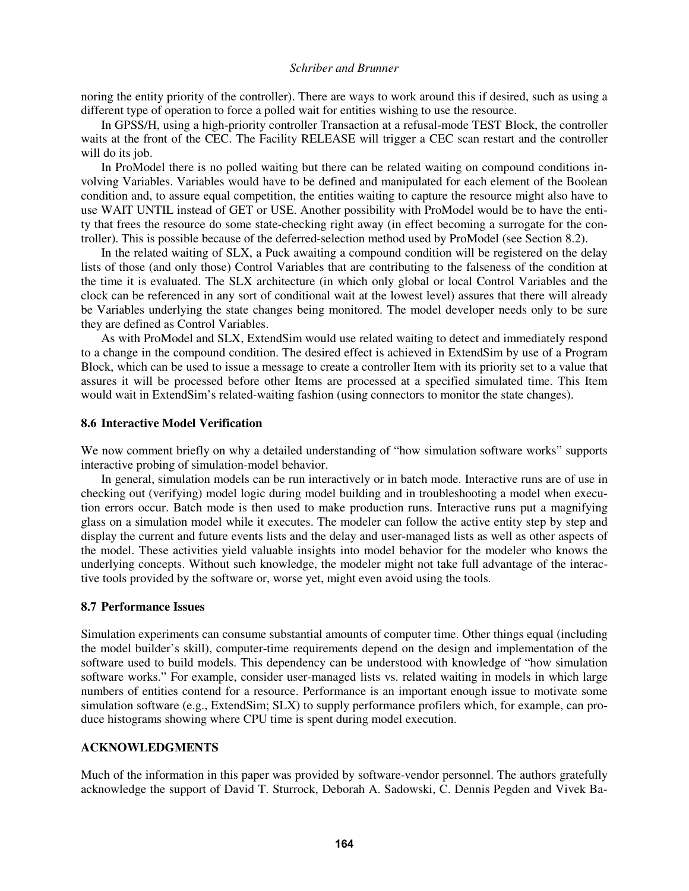noring the entity priority of the controller). There are ways to work around this if desired, such as using a different type of operation to force a polled wait for entities wishing to use the resource.

In GPSS/H, using a high-priority controller Transaction at a refusal-mode TEST Block, the controller waits at the front of the CEC. The Facility RELEASE will trigger a CEC scan restart and the controller will do its job.

In ProModel there is no polled waiting but there can be related waiting on compound conditions involving Variables. Variables would have to be defined and manipulated for each element of the Boolean condition and, to assure equal competition, the entities waiting to capture the resource might also have to use WAIT UNTIL instead of GET or USE. Another possibility with ProModel would be to have the entity that frees the resource do some state-checking right away (in effect becoming a surrogate for the controller). This is possible because of the deferred-selection method used by ProModel (see Section 8.2).

In the related waiting of SLX, a Puck awaiting a compound condition will be registered on the delay lists of those (and only those) Control Variables that are contributing to the falseness of the condition at the time it is evaluated. The SLX architecture (in which only global or local Control Variables and the clock can be referenced in any sort of conditional wait at the lowest level) assures that there will already be Variables underlying the state changes being monitored. The model developer needs only to be sure they are defined as Control Variables.

As with ProModel and SLX, ExtendSim would use related waiting to detect and immediately respond to a change in the compound condition. The desired effect is achieved in ExtendSim by use of a Program Block, which can be used to issue a message to create a controller Item with its priority set to a value that assures it will be processed before other Items are processed at a specified simulated time. This Item would wait in ExtendSim's related-waiting fashion (using connectors to monitor the state changes).

### **8.6 Interactive Model Verification**

We now comment briefly on why a detailed understanding of "how simulation software works" supports interactive probing of simulation-model behavior.

In general, simulation models can be run interactively or in batch mode. Interactive runs are of use in checking out (verifying) model logic during model building and in troubleshooting a model when execution errors occur. Batch mode is then used to make production runs. Interactive runs put a magnifying glass on a simulation model while it executes. The modeler can follow the active entity step by step and display the current and future events lists and the delay and user-managed lists as well as other aspects of the model. These activities yield valuable insights into model behavior for the modeler who knows the underlying concepts. Without such knowledge, the modeler might not take full advantage of the interactive tools provided by the software or, worse yet, might even avoid using the tools.

## **8.7 Performance Issues**

Simulation experiments can consume substantial amounts of computer time. Other things equal (including the model builder's skill), computer-time requirements depend on the design and implementation of the software used to build models. This dependency can be understood with knowledge of "how simulation software works." For example, consider user-managed lists vs. related waiting in models in which large numbers of entities contend for a resource. Performance is an important enough issue to motivate some simulation software (e.g., ExtendSim; SLX) to supply performance profilers which, for example, can produce histograms showing where CPU time is spent during model execution.

## **ACKNOWLEDGMENTS**

Much of the information in this paper was provided by software-vendor personnel. The authors gratefully acknowledge the support of David T. Sturrock, Deborah A. Sadowski, C. Dennis Pegden and Vivek Ba-